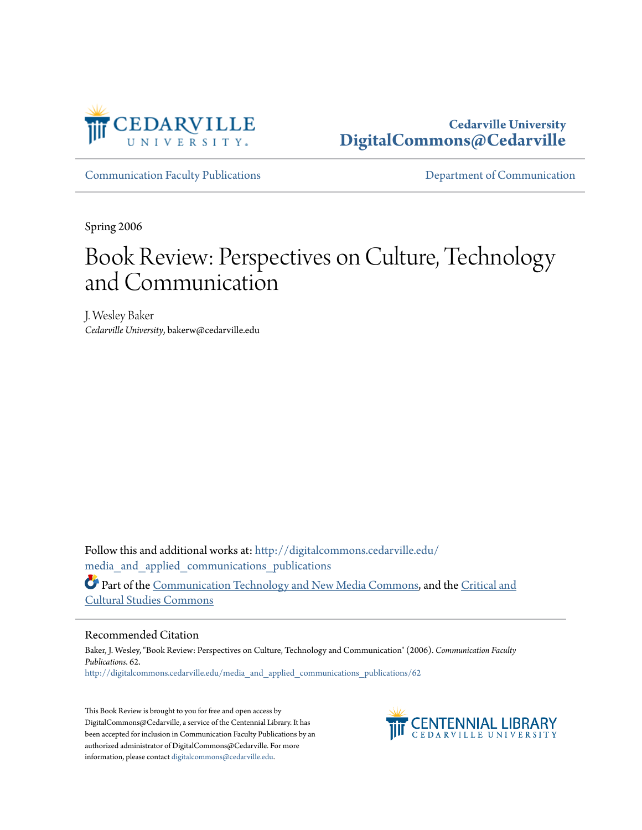

# **Cedarville University [DigitalCommons@Cedarville](http://digitalcommons.cedarville.edu?utm_source=digitalcommons.cedarville.edu%2Fmedia_and_applied_communications_publications%2F62&utm_medium=PDF&utm_campaign=PDFCoverPages)**

[Communication Faculty Publications](http://digitalcommons.cedarville.edu/media_and_applied_communications_publications?utm_source=digitalcommons.cedarville.edu%2Fmedia_and_applied_communications_publications%2F62&utm_medium=PDF&utm_campaign=PDFCoverPages) [Department of Communication](http://digitalcommons.cedarville.edu/media_and_applied_communications?utm_source=digitalcommons.cedarville.edu%2Fmedia_and_applied_communications_publications%2F62&utm_medium=PDF&utm_campaign=PDFCoverPages)

Spring 2006

# Book Review: Perspectives on Culture, Technology and Communication

J. Wesley Baker *Cedarville University*, bakerw@cedarville.edu

Follow this and additional works at: [http://digitalcommons.cedarville.edu/](http://digitalcommons.cedarville.edu/media_and_applied_communications_publications?utm_source=digitalcommons.cedarville.edu%2Fmedia_and_applied_communications_publications%2F62&utm_medium=PDF&utm_campaign=PDFCoverPages) media and applied communications publications Part of the [Communication Technology and New Media Commons](http://network.bepress.com/hgg/discipline/327?utm_source=digitalcommons.cedarville.edu%2Fmedia_and_applied_communications_publications%2F62&utm_medium=PDF&utm_campaign=PDFCoverPages), and the [Critical and](http://network.bepress.com/hgg/discipline/328?utm_source=digitalcommons.cedarville.edu%2Fmedia_and_applied_communications_publications%2F62&utm_medium=PDF&utm_campaign=PDFCoverPages) [Cultural Studies Commons](http://network.bepress.com/hgg/discipline/328?utm_source=digitalcommons.cedarville.edu%2Fmedia_and_applied_communications_publications%2F62&utm_medium=PDF&utm_campaign=PDFCoverPages)

#### Recommended Citation

Baker, J. Wesley, "Book Review: Perspectives on Culture, Technology and Communication" (2006). *Communication Faculty Publications*. 62. [http://digitalcommons.cedarville.edu/media\\_and\\_applied\\_communications\\_publications/62](http://digitalcommons.cedarville.edu/media_and_applied_communications_publications/62?utm_source=digitalcommons.cedarville.edu%2Fmedia_and_applied_communications_publications%2F62&utm_medium=PDF&utm_campaign=PDFCoverPages)

This Book Review is brought to you for free and open access by DigitalCommons@Cedarville, a service of the Centennial Library. It has been accepted for inclusion in Communication Faculty Publications by an authorized administrator of DigitalCommons@Cedarville. For more information, please contact [digitalcommons@cedarville.edu.](mailto:digitalcommons@cedarville.edu)

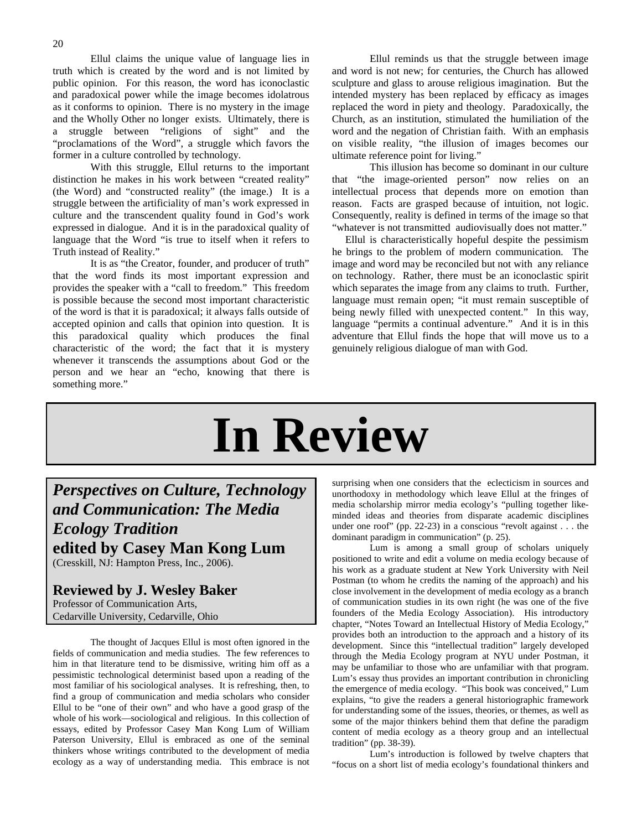Ellul claims the unique value of language lies in truth which is created by the word and is not limited by public opinion. For this reason, the word has iconoclastic and paradoxical power while the image becomes idolatrous as it conforms to opinion. There is no mystery in the image and the Wholly Other no longer exists. Ultimately, there is a struggle between "religions of sight" and the "proclamations of the Word", a struggle which favors the former in a culture controlled by technology.

 With this struggle, Ellul returns to the important distinction he makes in his work between "created reality" (the Word) and "constructed reality" (the image.) It is a struggle between the artificiality of man's work expressed in culture and the transcendent quality found in God's work expressed in dialogue. And it is in the paradoxical quality of language that the Word "is true to itself when it refers to Truth instead of Reality."

 It is as "the Creator, founder, and producer of truth" that the word finds its most important expression and provides the speaker with a "call to freedom." This freedom is possible because the second most important characteristic of the word is that it is paradoxical; it always falls outside of accepted opinion and calls that opinion into question. It is this paradoxical quality which produces the final characteristic of the word; the fact that it is mystery whenever it transcends the assumptions about God or the person and we hear an "echo, knowing that there is something more."

 Ellul reminds us that the struggle between image and word is not new; for centuries, the Church has allowed sculpture and glass to arouse religious imagination. But the intended mystery has been replaced by efficacy as images replaced the word in piety and theology. Paradoxically, the Church, as an institution, stimulated the humiliation of the word and the negation of Christian faith. With an emphasis on visible reality, "the illusion of images becomes our ultimate reference point for living."

 This illusion has become so dominant in our culture that "the image-oriented person" now relies on an intellectual process that depends more on emotion than reason. Facts are grasped because of intuition, not logic. Consequently, reality is defined in terms of the image so that "whatever is not transmitted audiovisually does not matter."

 Ellul is characteristically hopeful despite the pessimism he brings to the problem of modern communication. The image and word may be reconciled but not with any reliance on technology. Rather, there must be an iconoclastic spirit which separates the image from any claims to truth. Further, language must remain open; "it must remain susceptible of being newly filled with unexpected content." In this way, language "permits a continual adventure." And it is in this adventure that Ellul finds the hope that will move us to a genuinely religious dialogue of man with God.

# **In Review**

# *Perspectives on Culture, Technology and Communication: The Media Ecology Tradition* **edited by Casey Man Kong Lum**

(Cresskill, NJ: Hampton Press, Inc., 2006).

### **Reviewed by J. Wesley Baker** Professor of Communication Arts,

Cedarville University, Cedarville, Ohio

The thought of Jacques Ellul is most often ignored in the fields of communication and media studies. The few references to him in that literature tend to be dismissive, writing him off as a pessimistic technological determinist based upon a reading of the most familiar of his sociological analyses. It is refreshing, then, to find a group of communication and media scholars who consider Ellul to be "one of their own" and who have a good grasp of the whole of his work—sociological and religious. In this collection of essays, edited by Professor Casey Man Kong Lum of William Paterson University, Ellul is embraced as one of the seminal thinkers whose writings contributed to the development of media ecology as a way of understanding media. This embrace is not surprising when one considers that the eclecticism in sources and unorthodoxy in methodology which leave Ellul at the fringes of media scholarship mirror media ecology's "pulling together likeminded ideas and theories from disparate academic disciplines under one roof" (pp. 22-23) in a conscious "revolt against . . . the dominant paradigm in communication" (p. 25).

Lum is among a small group of scholars uniquely positioned to write and edit a volume on media ecology because of his work as a graduate student at New York University with Neil Postman (to whom he credits the naming of the approach) and his close involvement in the development of media ecology as a branch of communication studies in its own right (he was one of the five founders of the Media Ecology Association). His introductory chapter, "Notes Toward an Intellectual History of Media Ecology," provides both an introduction to the approach and a history of its development. Since this "intellectual tradition" largely developed through the Media Ecology program at NYU under Postman, it may be unfamiliar to those who are unfamiliar with that program. Lum's essay thus provides an important contribution in chronicling the emergence of media ecology. "This book was conceived," Lum explains, "to give the readers a general historiographic framework for understanding some of the issues, theories, or themes, as well as some of the major thinkers behind them that define the paradigm content of media ecology as a theory group and an intellectual tradition" (pp. 38-39).

Lum's introduction is followed by twelve chapters that "focus on a short list of media ecology's foundational thinkers and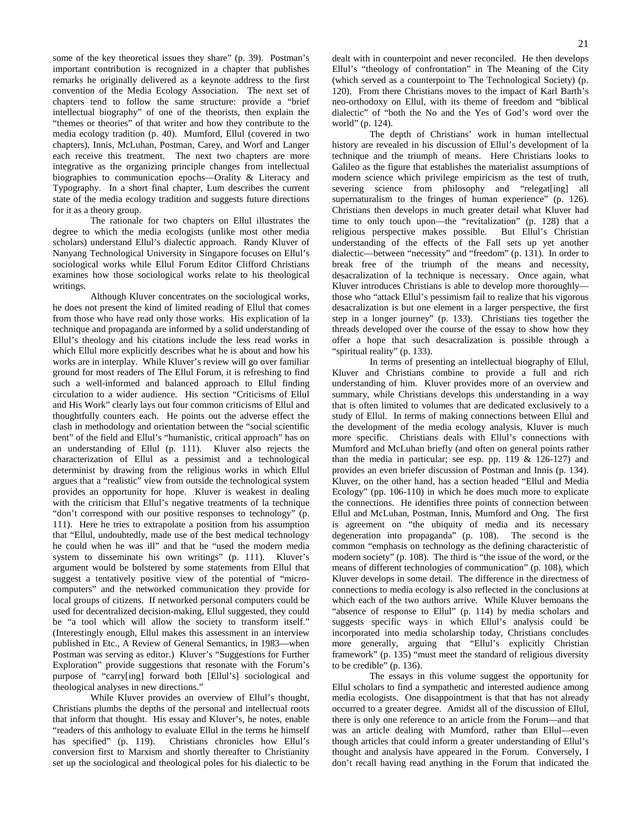some of the key theoretical issues they share" (p. 39). Postman's important contribution is recognized in a chapter that publishes remarks he originally delivered as a keynote address to the first convention of the Media Ecology Association. The next set of chapters tend to follow the same structure: provide a "brief intellectual biography" of one of the theorists, then explain the "themes or theories" of that writer and how they contribute to the media ecology tradition (p. 40). Mumford, Ellul (covered in two chapters), Innis, McLuhan, Postman, Carey, and Worf and Langer each receive this treatment. The next two chapters are more integrative as the organizing principle changes from intellectual biographies to communication epochs—Orality & Literacy and Typography. In a short final chapter, Lum describes the current state of the media ecology tradition and suggests future directions for it as a theory group.

The rationale for two chapters on Ellul illustrates the degree to which the media ecologists (unlike most other media scholars) understand Ellul's dialectic approach. Randy Kluver of Nanyang Technological University in Singapore focuses on Ellul's sociological works while Ellul Forum Editor Clifford Christians examines how those sociological works relate to his theological writings.

Although Kluver concentrates on the sociological works, he does not present the kind of limited reading of Ellul that comes from those who have read only those works. His explication of la technique and propaganda are informed by a solid understanding of Ellul's theology and his citations include the less read works in which Ellul more explicitly describes what he is about and how his works are in interplay. While Kluver's review will go over familiar ground for most readers of The Ellul Forum, it is refreshing to find such a well-informed and balanced approach to Ellul finding circulation to a wider audience. His section "Criticisms of Ellul and His Work" clearly lays out four common criticisms of Ellul and thoughtfully counters each. He points out the adverse effect the clash in methodology and orientation between the "social scientific bent" of the field and Ellul's "humanistic, critical approach" has on an understanding of Ellul (p. 111). Kluver also rejects the characterization of Ellul as a pessimist and a technological determinist by drawing from the religious works in which Ellul argues that a "realistic" view from outside the technological system provides an opportunity for hope. Kluver is weakest in dealing with the criticism that Ellul's negative treatments of la technique "don't correspond with our positive responses to technology" (p. 111). Here he tries to extrapolate a position from his assumption that "Ellul, undoubtedly, made use of the best medical technology he could when he was ill" and that he "used the modern media system to disseminate his own writings" (p. 111). Kluver's argument would be bolstered by some statements from Ellul that suggest a tentatively positive view of the potential of "microcomputers" and the networked communication they provide for local groups of citizens. If networked personal computers could be used for decentralized decision-making, Ellul suggested, they could be "a tool which will allow the society to transform itself." (Interestingly enough, Ellul makes this assessment in an interview published in Etc., A Review of General Semantics, in 1983—when Postman was serving as editor.) Kluver's "Suggestions for Further Exploration" provide suggestions that resonate with the Forum's purpose of "carry[ing] forward both [Ellul's] sociological and theological analyses in new directions."

While Kluver provides an overview of Ellul's thought, Christians plumbs the depths of the personal and intellectual roots that inform that thought. His essay and Kluver's, he notes, enable "readers of this anthology to evaluate Ellul in the terms he himself has specified" (p. 119). Christians chronicles how Ellul's conversion first to Marxism and shortly thereafter to Christianity set up the sociological and theological poles for his dialectic to be

dealt with in counterpoint and never reconciled. He then develops Ellul's "theology of confrontation" in The Meaning of the City (which served as a counterpoint to The Technological Society) (p. 120). From there Christians moves to the impact of Karl Barth's neo-orthodoxy on Ellul, with its theme of freedom and "biblical dialectic" of "both the No and the Yes of God's word over the world" (p. 124).

The depth of Christians' work in human intellectual history are revealed in his discussion of Ellul's development of la technique and the triumph of means. Here Christians looks to Galileo as the figure that establishes the materialist assumptions of modern science which privilege empiricism as the test of truth, severing science from philosophy and "relegat[ing] all supernaturalism to the fringes of human experience" (p. 126). Christians then develops in much greater detail what Kluver had time to only touch upon—the "revitalization" (p. 128) that a religious perspective makes possible. But Ellul's Christian understanding of the effects of the Fall sets up yet another dialectic—between "necessity" and "freedom" (p. 131). In order to break free of the triumph of the means and necessity, desacralization of la technique is necessary. Once again, what Kluver introduces Christians is able to develop more thoroughly those who "attack Ellul's pessimism fail to realize that his vigorous desacralization is but one element in a larger perspective, the first step in a longer journey" (p. 133). Christians ties together the threads developed over the course of the essay to show how they offer a hope that such desacralization is possible through a "spiritual reality" (p. 133).

In terms of presenting an intellectual biography of Ellul, Kluver and Christians combine to provide a full and rich understanding of him. Kluver provides more of an overview and summary, while Christians develops this understanding in a way that is often limited to volumes that are dedicated exclusively to a study of Ellul. In terms of making connections between Ellul and the development of the media ecology analysis, Kluver is much more specific. Christians deals with Ellul's connections with Mumford and McLuhan briefly (and often on general points rather than the media in particular; see esp. pp. 119 & 126-127) and provides an even briefer discussion of Postman and Innis (p. 134). Kluver, on the other hand, has a section headed "Ellul and Media Ecology" (pp. 106-110) in which he does much more to explicate the connections. He identifies three points of connection between Ellul and McLuhan, Postman, Innis, Mumford and Ong. The first is agreement on "the ubiquity of media and its necessary degeneration into propaganda" (p. 108). The second is the common "emphasis on technology as the defining characteristic of modern society" (p. 108). The third is "the issue of the word, or the means of different technologies of communication" (p. 108), which Kluver develops in some detail. The difference in the directness of connections to media ecology is also reflected in the conclusions at which each of the two authors arrive. While Kluver bemoans the "absence of response to Ellul" (p. 114) by media scholars and suggests specific ways in which Ellul's analysis could be incorporated into media scholarship today, Christians concludes more generally, arguing that "Ellul's explicitly Christian framework" (p. 135) "must meet the standard of religious diversity to be credible" (p. 136).

The essays in this volume suggest the opportunity for Ellul scholars to find a sympathetic and interested audience among media ecologists. One disappointment is that that has not already occurred to a greater degree. Amidst all of the discussion of Ellul, there is only one reference to an article from the Forum—and that was an article dealing with Mumford, rather than Ellul—even though articles that could inform a greater understanding of Ellul's thought and analysis have appeared in the Forum. Conversely, I don't recall having read anything in the Forum that indicated the